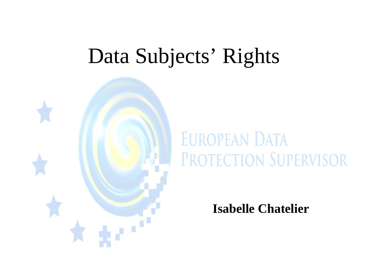# Data Subjects' Rights



# **EUROPEAN DATA** PROTECTION SUPERVISOR

**Isabelle Chatelier**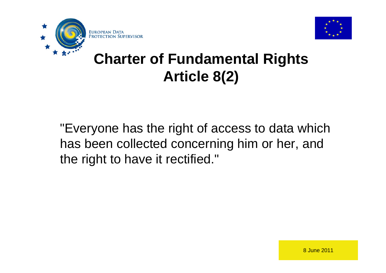



#### **Charter of Fundamental Rights Article 8(2)**

"Everyone has the right of access to data which has been collected concerning him or her, and the right to have it rectified."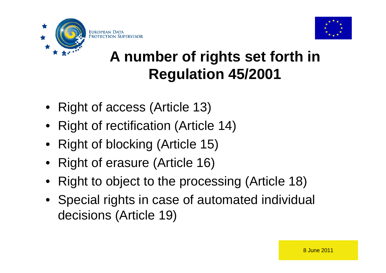



#### **A number of rights set forth in Regulation 45/2001**

- Right of access (Article 13)
- Right of rectification (Article 14)
- Right of blocking (Article 15)
- Right of erasure (Article 16)
- Right to object to the processing (Article 18)
- Special rights in case of automated individual decisions (Article 19)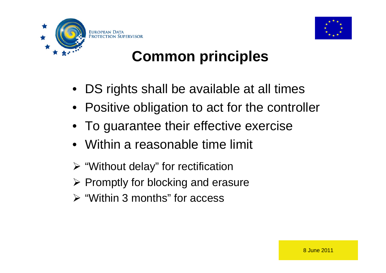



## **Common principles**

- DS rights shall be available at all times
- Positive obligation to act for the controller
- To guarantee their effective exercise
- Within a reasonable time limit
- $\triangleright$  "Without delay" for rectification
- $\triangleright$  Promptly for blocking and erasure
- $\triangleright$  "Within 3 months" for access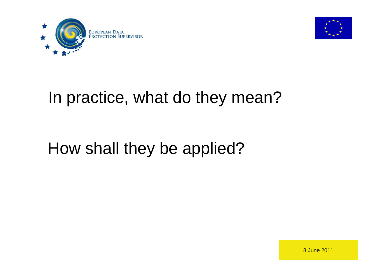



## In practice, what do they mean?

# How shall they be applied?

8 June 2011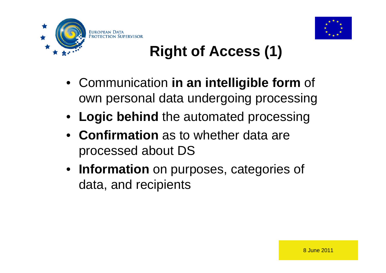



# **Right of Access (1)**

- Communication **in an intelligible form** of own personal data undergoing processing
- **Logic behind** the automated processing
- **Confirmation** as to whether data are processed about DS
- **Information** on purposes, categories of data, and recipients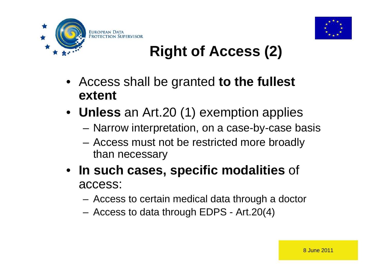



# **Right of Access (2)**

- Access shall be granted **to the fullest extent**
- **Unless** an Art.20 (1) exemption applies
	- Narrow interpretation, on a case-by-case basis
	- Access must not be restricted more broadly than necessary
- **In such cases, specific modalities** of access:
	- Access to certain medical data through a doctor
	- Access to data through EDPS Art.20(4)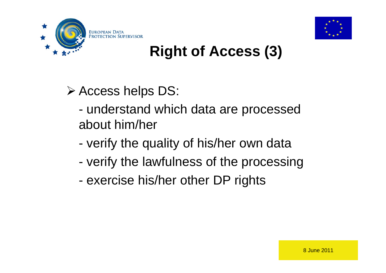



## **Right of Access (3)**

Access helps DS:

- understand which data are processed about him/her
- verify the quality of his/her own data
- verify the lawfulness of the processing
- exercise his/her other DP rights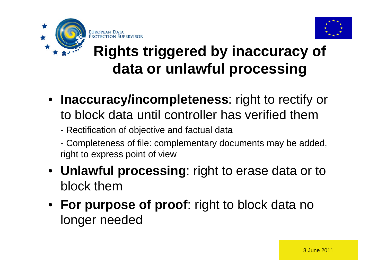



## **Rights triggered by inaccuracy of data or unlawful processing**

- **Inaccuracy/incompleteness**: right to rectify or to block data until controller has verified them
	- Rectification of objective and factual data
	- Completeness of file: complementary documents may be added, right to express point of view
- **Unlawful processing**: right to erase data or to block them
- **For purpose of proof**: right to block data no longer needed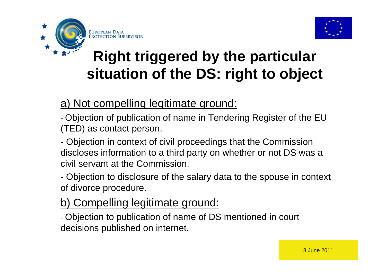

EUROPEAN DATA

PROTECTION SUPERVISOR



## **Right triggered by the particular situation of the DS: right to object**

a) Not compelling legitimate ground:

- Objection of publication of name in Tendering Register of the EU (TED) as contact person.

- Objection in context of civil proceedings that the Commission discloses information to a third party on whether or not DS was a civil servant at the Commission.

- Objection to disclosure of the salary data to the spouse in context of divorce procedure.

#### b) Compelling legitimate ground:

- Objection to publication of name of DS mentioned in court decisions published on internet.